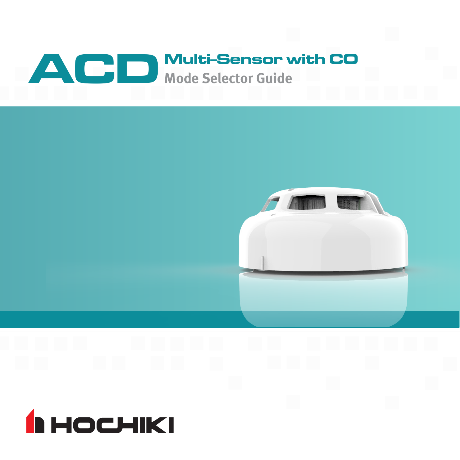



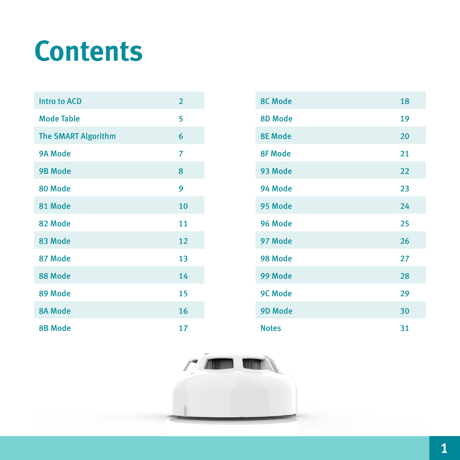# **Contents**

| <b>Intro to ACD</b>        | $\overline{2}$ |
|----------------------------|----------------|
| <b>Mode Table</b>          | 5              |
| <b>The SMART Algorithm</b> | 6              |
| 9A Mode                    | 7              |
| <b>9B Mode</b>             | 8              |
| 80 Mode                    | 9              |
| 81 Mode                    | 10             |
| 82 Mode                    | 11             |
| 83 Mode                    | 12             |
| 87 Mode                    | 13             |
| 88 Mode                    | 14             |
| 89 Mode                    | 15             |
| <b>8A Mode</b>             | 16             |
| <b>8B Mode</b>             | 17             |

| <b>8C Mode</b> | 18 |
|----------------|----|
| 8D Mode        | 19 |
| <b>8E Mode</b> | 20 |
| <b>8F Mode</b> | 21 |
| 93 Mode        | 22 |
| 94 Mode        | 23 |
| 95 Mode        | 24 |
| 96 Mode        | 25 |
| 97 Mode        | 26 |
| 98 Mode        | 27 |
| 99 Mode        | 28 |
| 9C Mode        | 29 |
| 9D Mode        | 30 |
| <b>Notes</b>   | 31 |

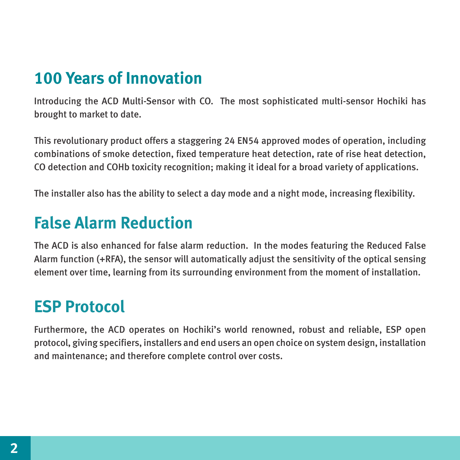#### **100 Years of Innovation**

Introducing the ACD Multi-Sensor with CO. The most sophisticated multi-sensor Hochiki has brought to market to date.

This revolutionary product offers a staggering 24 EN54 approved modes of operation, including combinations of smoke detection, fixed temperature heat detection, rate of rise heat detection, CO detection and COHb toxicity recognition; making it ideal for a broad variety of applications.

The installer also has the ability to select a day mode and a night mode, increasing flexibility.

#### **False Alarm Reduction**

The ACD is also enhanced for false alarm reduction. In the modes featuring the Reduced False Alarm function (+RFA), the sensor will automatically adjust the sensitivity of the optical sensing element over time, learning from its surrounding environment from the moment of installation.

#### **ESP Protocol**

Furthermore, the ACD operates on Hochiki's world renowned, robust and reliable, ESP open protocol, giving specifiers, installers and end users an open choice on system design, installation and maintenance; and therefore complete control over costs.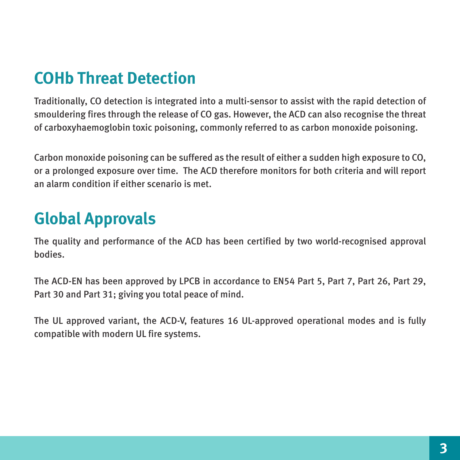### **COHb Threat Detection**

Traditionally, CO detection is integrated into a multi-sensor to assist with the rapid detection of smouldering fires through the release of CO gas. However, the ACD can also recognise the threat of carboxyhaemoglobin toxic poisoning, commonly referred to as carbon monoxide poisoning.

Carbon monoxide poisoning can be suffered as the result of either a sudden high exposure to CO, or a prolonged exposure over time. The ACD therefore monitors for both criteria and will report an alarm condition if either scenario is met.

### **Global Approvals**

The quality and performance of the ACD has been certified by two world-recognised approval bodies.

The ACD-EN has been approved by LPCB in accordance to EN54 Part 5, Part 7, Part 26, Part 29, Part 30 and Part 31; giving you total peace of mind.

The UL approved variant, the ACD-V, features 16 UL-approved operational modes and is fully compatible with modern UL fire systems.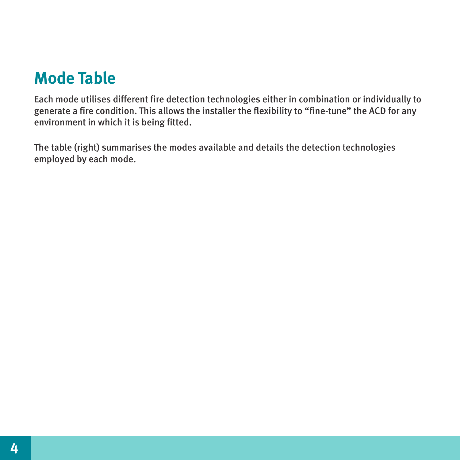#### **Mode Table**

Each mode utilises different fire detection technologies either in combination or individually to generate a fire condition. This allows the installer the flexibility to "fine-tune" the ACD for any environment in which it is being fitted.

The table (right) summarises the modes available and details the detection technologies employed by each mode.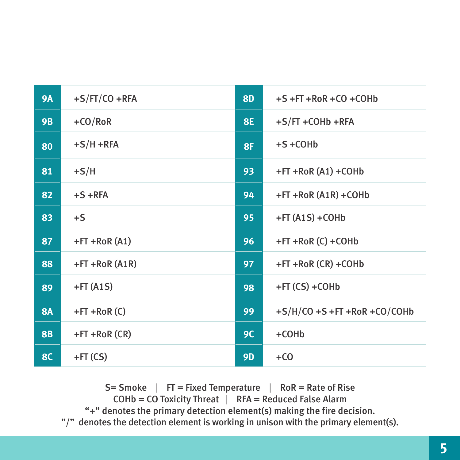| <b>9A</b> | $+S/FT/CO + RFA$  | <b>8D</b> | $+S + FT + RoR + CO + CO$          |
|-----------|-------------------|-----------|------------------------------------|
| <b>9B</b> | $+CO/RoR$         | <b>8E</b> | $+S/FT + COHb + RFA$               |
| 80        | $+S/H + RFA$      | 8F        | $+S + COHD$                        |
| 81        | $+S/H$            | 93        | $+FT + RoR(A1) + COHb$             |
| 82        | $+S + RFA$        | 94        | $+FT + RoR (A1R) + COHb$           |
| 83        | $+S$              | 95        | $+FT(A1S) + COHb$                  |
| 87        | $+FT + RoR(A1)$   | 96        | $+FT + RoR (C) + COHb$             |
| 88        | $+FT + RoR (A1R)$ | 97        | $+FT + RoR (CR) + COHb$            |
| 89        | $+FT(A1S)$        | 98        | $+FT(CS) + COHb$                   |
| <b>8A</b> | $+FT + RoR(C)$    | 99        | $+S/H/CO + S + FT + RoR + CO/COHb$ |
| <b>8B</b> | $+FT + RoR (CR)$  | 9C        | $+COHb$                            |
| <b>8C</b> | $+FT(CS)$         | <b>9D</b> | $+CO$                              |

 $S=$  Smoke  $|$  FT = Fixed Temperature  $|$  RoR = Rate of Rise

 $COHb = CO$  Toxicity Threat  $\overrightarrow{RFA}$  = Reduced False Alarm

"+" denotes the primary detection element(s) making the fire decision.

"/" denotes the detection element is working in unison with the primary element(s).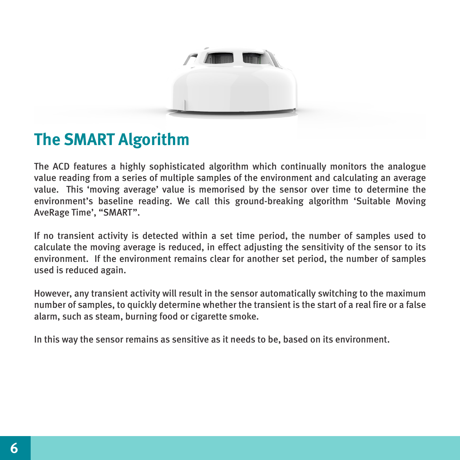

#### **The SMART Algorithm**

The ACD features a highly sophisticated algorithm which continually monitors the analogue value reading from a series of multiple samples of the environment and calculating an average value. This 'moving average' value is memorised by the sensor over time to determine the environment's baseline reading. We call this ground-breaking algorithm 'Suitable Moving AveRage Time', "SMART".

If no transient activity is detected within a set time period, the number of samples used to calculate the moving average is reduced, in effect adjusting the sensitivity of the sensor to its environment. If the environment remains clear for another set period, the number of samples used is reduced again.

However, any transient activity will result in the sensor automatically switching to the maximum number of samples, to quickly determine whether the transient is the start of a real fire or a false alarm, such as steam, burning food or cigarette smoke.

In this way the sensor remains as sensitive as it needs to be, based on its environment.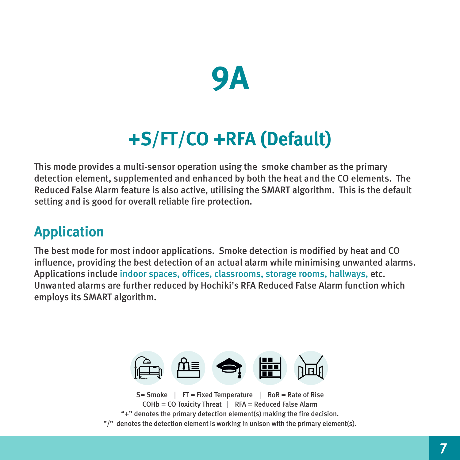

# **+S/FT/CO +RFA (Default)**

This mode provides a multi-sensor operation using the smoke chamber as the primary detection element, supplemented and enhanced by both the heat and the CO elements. The Reduced False Alarm feature is also active, utilising the SMART algorithm. This is the default setting and is good for overall reliable fire protection.

#### **Application**

The best mode for most indoor applications. Smoke detection is modified by heat and CO influence, providing the best detection of an actual alarm while minimising unwanted alarms. Applications include indoor spaces, offices, classrooms, storage rooms, hallways, etc. Unwanted alarms are further reduced by Hochiki's RFA Reduced False Alarm function which employs its SMART algorithm.

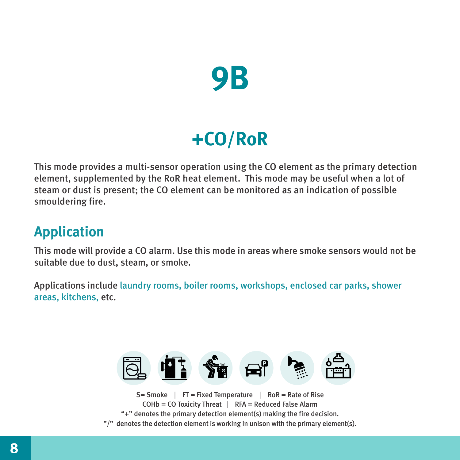

# **+CO/RoR**

This mode provides a multi-sensor operation using the CO element as the primary detection element, supplemented by the RoR heat element. This mode may be useful when a lot of steam or dust is present; the CO element can be monitored as an indication of possible smouldering fire.

#### **Application**

This mode will provide a CO alarm. Use this mode in areas where smoke sensors would not be suitable due to dust, steam, or smoke.

Applications include laundry rooms, boiler rooms, workshops, enclosed car parks, shower areas, kitchens, etc.



 $S=$  Smoke  $\parallel$  FT = Fixed Temperature  $\parallel$  RoR = Rate of Rise COHb = CO Toxicity Threat | RFA = Reduced False Alarm "+" denotes the primary detection element(s) making the fire decision. "/" denotes the detection element is working in unison with the primary element(s).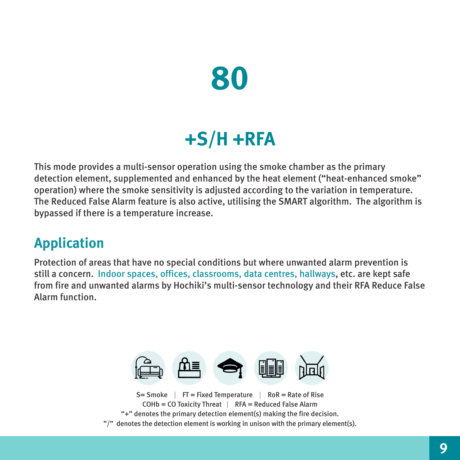

### **+S/H +RFA**

This mode provides a multi-sensor operation using the smoke chamber as the primary detection element, supplemented and enhanced by the heat element ("heat-enhanced smoke" operation) where the smoke sensitivity is adjusted according to the variation in temperature. The Reduced False Alarm feature is also active, utilising the SMART algorithm. The algorithm is bypassed if there is a temperature increase.

#### **Application**

Protection of areas that have no special conditions but where unwanted alarm prevention is still a concern. Indoor spaces, offices, classrooms, data centres, hallways, etc. are kept safe from fire and unwanted alarms by Hochiki's multi-sensor technology and their RFA Reduce False Alarm function.



 $COHb = CO$  Toxicity Threat  $\parallel$  RFA = Reduced False Alarm "+" denotes the primary detection element(s) making the fire decision. "/" denotes the detection element is working in unison with the primary element(s).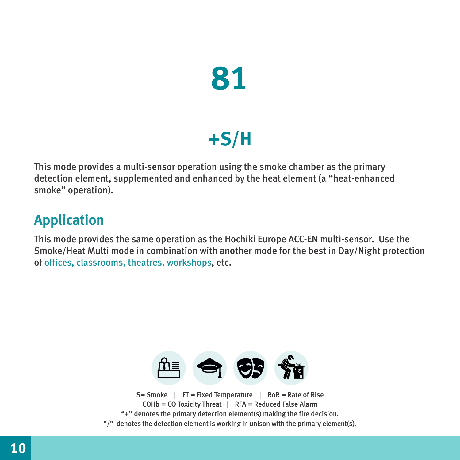

# **+S/H**

This mode provides a multi-sensor operation using the smoke chamber as the primary detection element, supplemented and enhanced by the heat element (a "heat-enhanced smoke" operation).

#### **Application**

This mode provides the same operation as the Hochiki Europe ACC-EN multi-sensor. Use the Smoke/Heat Multi mode in combination with another mode for the best in Day/Night protection of offices, classrooms, theatres, workshops, etc.

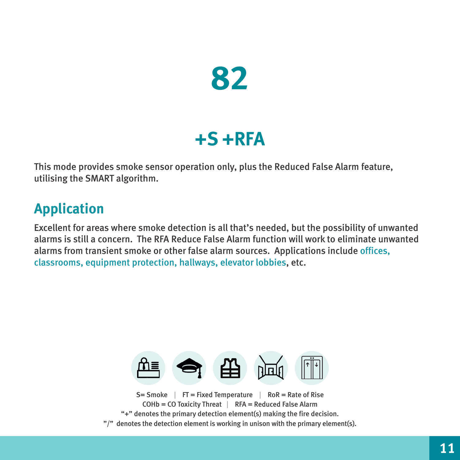

### **+S +RFA**

This mode provides smoke sensor operation only, plus the Reduced False Alarm feature, utilising the SMART algorithm.

#### **Application**

Excellent for areas where smoke detection is all that's needed, but the possibility of unwanted alarms is still a concern. The RFA Reduce False Alarm function will work to eliminate unwanted alarms from transient smoke or other false alarm sources. Applications include offices, classrooms, equipment protection, hallways, elevator lobbies, etc.

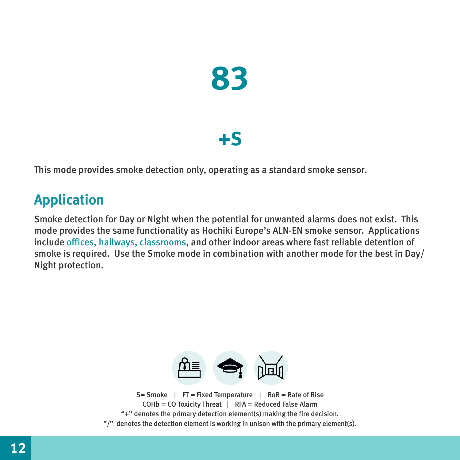

### **+S**

This mode provides smoke detection only, operating as a standard smoke sensor.

#### **Application**

Smoke detection for Day or Night when the potential for unwanted alarms does not exist. This mode provides the same functionality as Hochiki Europe's ALN-EN smoke sensor. Applications include offices, hallways, classrooms, and other indoor areas where fast reliable detention of smoke is required. Use the Smoke mode in combination with another mode for the best in Day/ Night protection.

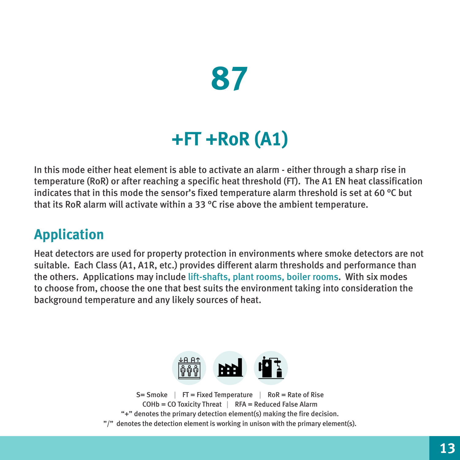# **87**

# **+FT +RoR (A1)**

In this mode either heat element is able to activate an alarm - either through a sharp rise in temperature (RoR) or after reaching a specific heat threshold (FT). The A1 EN heat classification indicates that in this mode the sensor's fixed temperature alarm threshold is set at 60 °C but that its RoR alarm will activate within a 33 °C rise above the ambient temperature.

#### **Application**

Heat detectors are used for property protection in environments where smoke detectors are not suitable. Each Class (A1, A1R, etc.) provides different alarm thresholds and performance than the others. Applications may include lift-shafts, plant rooms, boiler rooms. With six modes to choose from, choose the one that best suits the environment taking into consideration the background temperature and any likely sources of heat.

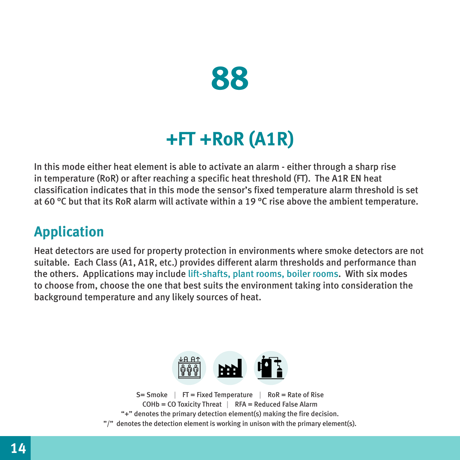

### **+FT +RoR (A1R)**

In this mode either heat element is able to activate an alarm - either through a sharp rise in temperature (RoR) or after reaching a specific heat threshold (FT). The A1R EN heat classification indicates that in this mode the sensor's fixed temperature alarm threshold is set at 60 °C but that its RoR alarm will activate within a 19 °C rise above the ambient temperature.

#### **Application**

Heat detectors are used for property protection in environments where smoke detectors are not suitable. Each Class (A1, A1R, etc.) provides different alarm thresholds and performance than the others. Applications may include lift-shafts, plant rooms, boiler rooms. With six modes to choose from, choose the one that best suits the environment taking into consideration the background temperature and any likely sources of heat.

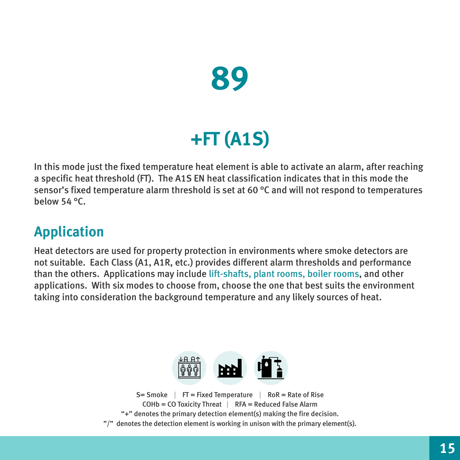

# **+FT (A1S)**

In this mode just the fixed temperature heat element is able to activate an alarm, after reaching a specific heat threshold (FT). The A1S EN heat classification indicates that in this mode the sensor's fixed temperature alarm threshold is set at 60 °C and will not respond to temperatures below 54 °C.

#### **Application**

Heat detectors are used for property protection in environments where smoke detectors are not suitable. Each Class (A1, A1R, etc.) provides different alarm thresholds and performance than the others. Applications may include lift-shafts, plant rooms, boiler rooms, and other applications. With six modes to choose from, choose the one that best suits the environment taking into consideration the background temperature and any likely sources of heat.

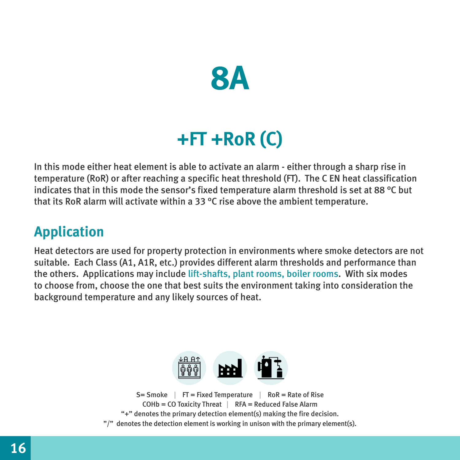

## **+FT +RoR (C)**

In this mode either heat element is able to activate an alarm - either through a sharp rise in temperature (RoR) or after reaching a specific heat threshold (FT). The C EN heat classification indicates that in this mode the sensor's fixed temperature alarm threshold is set at 88 °C but that its RoR alarm will activate within a 33 °C rise above the ambient temperature.

#### **Application**

Heat detectors are used for property protection in environments where smoke detectors are not suitable. Each Class (A1, A1R, etc.) provides different alarm thresholds and performance than the others. Applications may include lift-shafts, plant rooms, boiler rooms. With six modes to choose from, choose the one that best suits the environment taking into consideration the background temperature and any likely sources of heat.

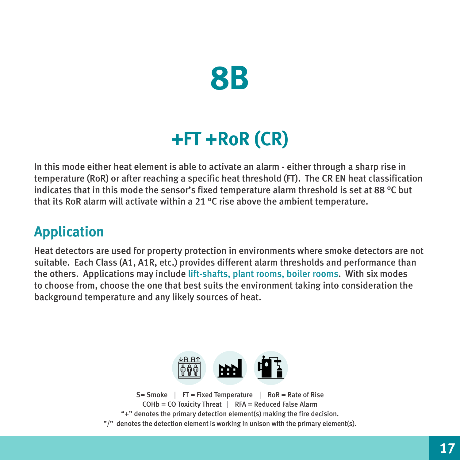

## **+FT +RoR (CR)**

In this mode either heat element is able to activate an alarm - either through a sharp rise in temperature (RoR) or after reaching a specific heat threshold (FT). The CR EN heat classification indicates that in this mode the sensor's fixed temperature alarm threshold is set at 88 °C but that its RoR alarm will activate within a 21 °C rise above the ambient temperature.

#### **Application**

Heat detectors are used for property protection in environments where smoke detectors are not suitable. Each Class (A1, A1R, etc.) provides different alarm thresholds and performance than the others. Applications may include lift-shafts, plant rooms, boiler rooms. With six modes to choose from, choose the one that best suits the environment taking into consideration the background temperature and any likely sources of heat.

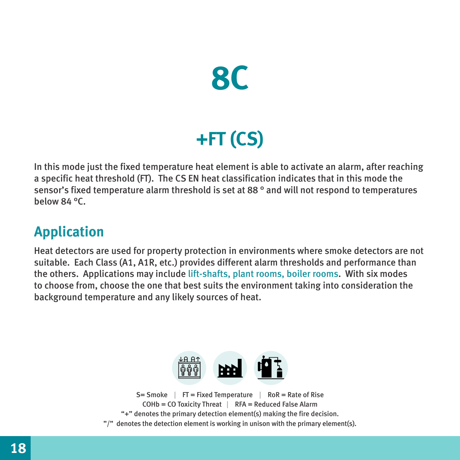

# **+FT (CS)**

In this mode just the fixed temperature heat element is able to activate an alarm, after reaching a specific heat threshold (FT). The CS EN heat classification indicates that in this mode the sensor's fixed temperature alarm threshold is set at 88 ° and will not respond to temperatures below 84 °C.

#### **Application**

Heat detectors are used for property protection in environments where smoke detectors are not suitable. Each Class (A1, A1R, etc.) provides different alarm thresholds and performance than the others. Applications may include lift-shafts, plant rooms, boiler rooms. With six modes to choose from, choose the one that best suits the environment taking into consideration the background temperature and any likely sources of heat.

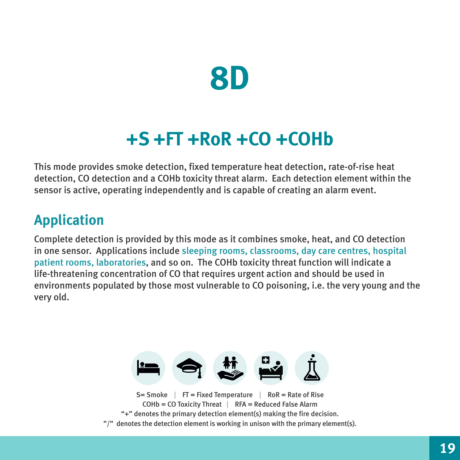

### **+S +FT +RoR +CO +COHb**

This mode provides smoke detection, fixed temperature heat detection, rate-of-rise heat detection, CO detection and a COHb toxicity threat alarm. Each detection element within the sensor is active, operating independently and is capable of creating an alarm event.

#### **Application**

Complete detection is provided by this mode as it combines smoke, heat, and CO detection in one sensor. Applications include sleeping rooms, classrooms, day care centres, hospital patient rooms, laboratories, and so on. The COHb toxicity threat function will indicate a life-threatening concentration of CO that requires urgent action and should be used in environments populated by those most vulnerable to CO poisoning, i.e. the very young and the very old.



"/" denotes the detection element is working in unison with the primary element(s).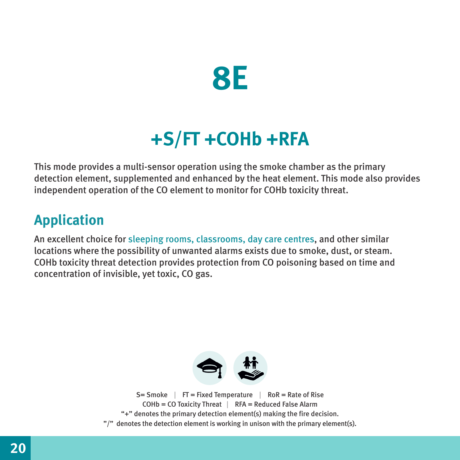

### **+S/FT +COHb +RFA**

This mode provides a multi-sensor operation using the smoke chamber as the primary detection element, supplemented and enhanced by the heat element. This mode also provides independent operation of the CO element to monitor for COHb toxicity threat.

#### **Application**

An excellent choice for sleeping rooms, classrooms, day care centres, and other similar locations where the possibility of unwanted alarms exists due to smoke, dust, or steam. COHb toxicity threat detection provides protection from CO poisoning based on time and concentration of invisible, yet toxic, CO gas.

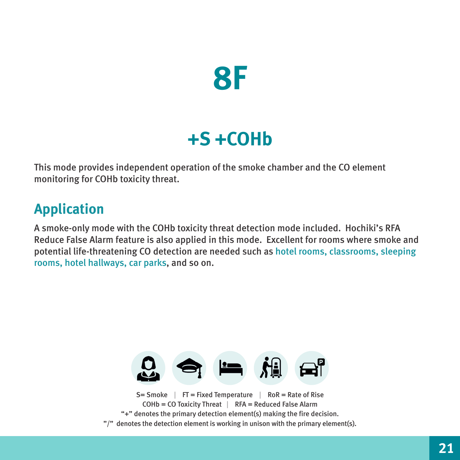

### **+S +COHb**

This mode provides independent operation of the smoke chamber and the CO element monitoring for COHb toxicity threat.

#### **Application**

A smoke-only mode with the COHb toxicity threat detection mode included. Hochiki's RFA Reduce False Alarm feature is also applied in this mode. Excellent for rooms where smoke and potential life-threatening CO detection are needed such as hotel rooms, classrooms, sleeping rooms, hotel hallways, car parks, and so on.



- "+" denotes the primary detection element(s) making the fire decision.
- "/" denotes the detection element is working in unison with the primary element(s).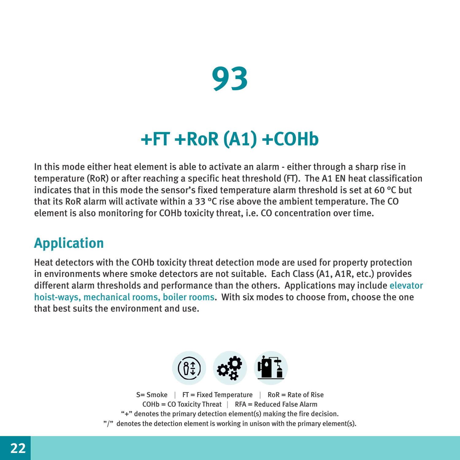

### **+FT +RoR (A1) +COHb**

In this mode either heat element is able to activate an alarm - either through a sharp rise in temperature (RoR) or after reaching a specific heat threshold (FT). The A1 EN heat classification indicates that in this mode the sensor's fixed temperature alarm threshold is set at 60 °C but that its RoR alarm will activate within a 33 °C rise above the ambient temperature. The CO element is also monitoring for COHb toxicity threat, i.e. CO concentration over time.

#### **Application**

Heat detectors with the COHb toxicity threat detection mode are used for property protection in environments where smoke detectors are not suitable. Each Class (A1, A1R, etc.) provides different alarm thresholds and performance than the others. Applications may include elevator hoist-ways, mechanical rooms, boiler rooms. With six modes to choose from, choose the one that hest suits the environment and use.

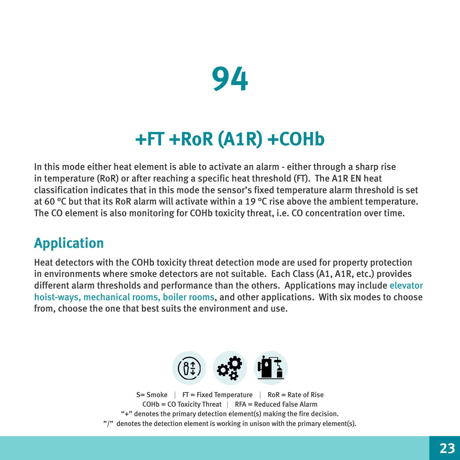

### **+FT +RoR (A1R) +COHb**

In this mode either heat element is able to activate an alarm - either through a sharp rise in temperature (RoR) or after reaching a specific heat threshold (FT). The A1R EN heat classification indicates that in this mode the sensor's fixed temperature alarm threshold is set at 60 °C but that its RoR alarm will activate within a 19 °C rise above the ambient temperature. The CO element is also monitoring for COHb toxicity threat, i.e. CO concentration over time.

#### **Application**

Heat detectors with the COHb toxicity threat detection mode are used for property protection in environments where smoke detectors are not suitable. Each Class (A1, A1R, etc.) provides different alarm thresholds and performance than the others. Applications may include elevator hoist-ways, mechanical rooms, boiler rooms, and other applications. With six modes to choose from, choose the one that best suits the environment and use.

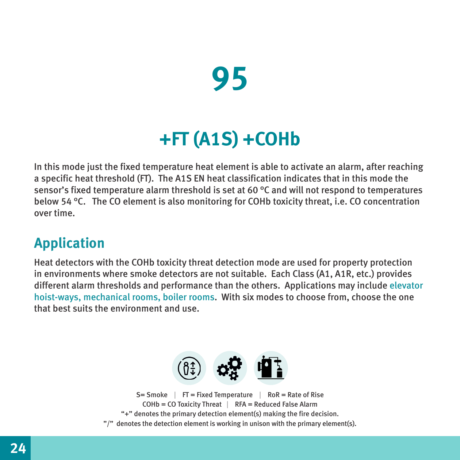

# **+FT (A1S) +COHb**

In this mode just the fixed temperature heat element is able to activate an alarm, after reaching a specific heat threshold (FT). The A1S EN heat classification indicates that in this mode the sensor's fixed temperature alarm threshold is set at 60 °C and will not respond to temperatures below 54 °C. The CO element is also monitoring for COHb toxicity threat, i.e. CO concentration over time.

#### **Application**

Heat detectors with the COHb toxicity threat detection mode are used for property protection in environments where smoke detectors are not suitable. Each Class (A1, A1R, etc.) provides different alarm thresholds and performance than the others. Applications may include elevator hoist-ways, mechanical rooms, boiler rooms. With six modes to choose from, choose the one that hest suits the environment and use.

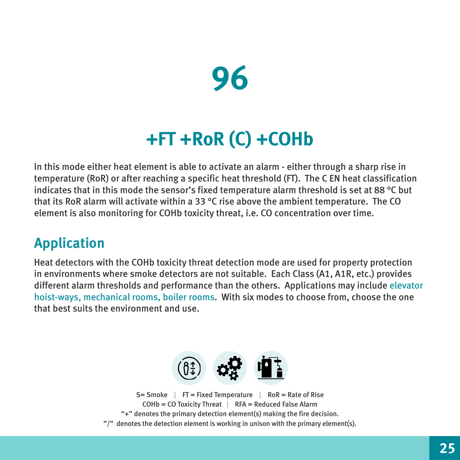

### **+FT +RoR (C) +COHb**

In this mode either heat element is able to activate an alarm - either through a sharp rise in temperature (RoR) or after reaching a specific heat threshold (FT). The C EN heat classification indicates that in this mode the sensor's fixed temperature alarm threshold is set at 88 °C but that its RoR alarm will activate within a 33 °C rise above the ambient temperature. The CO element is also monitoring for COHb toxicity threat, i.e. CO concentration over time.

#### **Application**

Heat detectors with the COHb toxicity threat detection mode are used for property protection in environments where smoke detectors are not suitable. Each Class (A1, A1R, etc.) provides different alarm thresholds and performance than the others. Applications may include elevator hoist-ways, mechanical rooms, boiler rooms. With six modes to choose from, choose the one that best suits the environment and use.

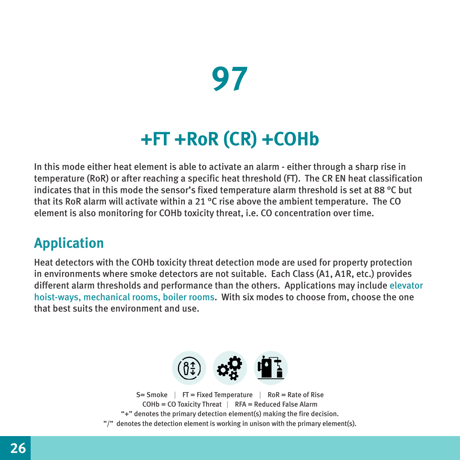# **97**

## **+FT +RoR (CR) +COHb**

In this mode either heat element is able to activate an alarm - either through a sharp rise in temperature (RoR) or after reaching a specific heat threshold (FT). The CR EN heat classification indicates that in this mode the sensor's fixed temperature alarm threshold is set at 88 °C but that its RoR alarm will activate within a 21 °C rise above the ambient temperature. The CO element is also monitoring for COHb toxicity threat, i.e. CO concentration over time.

#### **Application**

Heat detectors with the COHb toxicity threat detection mode are used for property protection in environments where smoke detectors are not suitable. Each Class (A1, A1R, etc.) provides different alarm thresholds and performance than the others. Applications may include elevator hoist-ways, mechanical rooms, boiler rooms. With six modes to choose from, choose the one that hest suits the environment and use.

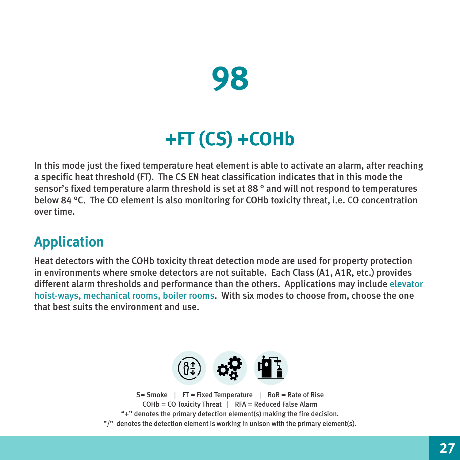

# **+FT (CS) +COHb**

In this mode just the fixed temperature heat element is able to activate an alarm, after reaching a specific heat threshold (FT). The CS EN heat classification indicates that in this mode the sensor's fixed temperature alarm threshold is set at 88 ° and will not respond to temperatures below 84 °C. The CO element is also monitoring for COHb toxicity threat, i.e. CO concentration over time.

#### **Application**

Heat detectors with the COHb toxicity threat detection mode are used for property protection in environments where smoke detectors are not suitable. Each Class (A1, A1R, etc.) provides different alarm thresholds and performance than the others. Applications may include elevator hoist-ways, mechanical rooms, boiler rooms. With six modes to choose from, choose the one that best suits the environment and use.

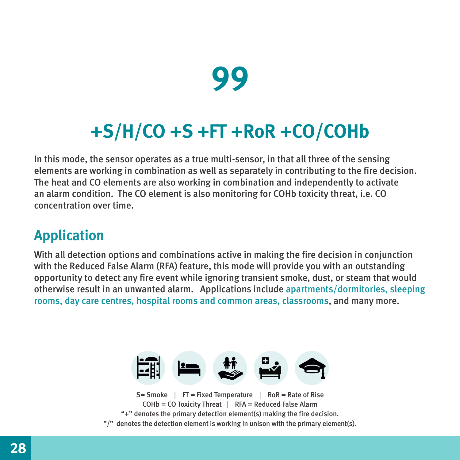

# **+S/H/CO +S +FT +RoR +CO/COHb**

In this mode, the sensor operates as a true multi-sensor, in that all three of the sensing elements are working in combination as well as separately in contributing to the fire decision. The heat and CO elements are also working in combination and independently to activate an alarm condition. The CO element is also monitoring for COHb toxicity threat, i.e. CO concentration over time.

#### **Application**

With all detection options and combinations active in making the fire decision in conjunction with the Reduced False Alarm (RFA) feature, this mode will provide you with an outstanding opportunity to detect any fire event while ignoring transient smoke, dust, or steam that would otherwise result in an unwanted alarm. Applications include apartments/dormitories, sleeping rooms, day care centres, hospital rooms and common areas, classrooms, and many more.



 $S=$  Smoke | FT = Fixed Temperature | RoR = Rate of Rise  $COHb = CO$  Toxicity Threat  $\parallel$  RFA = Reduced False Alarm "+" denotes the primary detection element(s) making the fire decision. "/" denotes the detection element is working in unison with the primary element(s).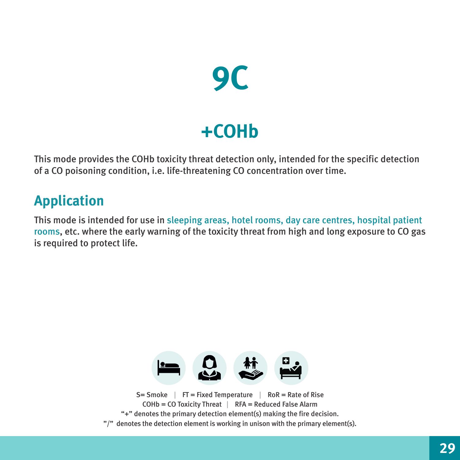

### **+COHb**

This mode provides the COHb toxicity threat detection only, intended for the specific detection of a CO poisoning condition, i.e. life-threatening CO concentration over time.

#### **Application**

This mode is intended for use in sleeping areas, hotel rooms, day care centres, hospital patient rooms, etc. where the early warning of the toxicity threat from high and long exposure to CO gas is required to protect life.



COHb = CO Toxicity Threat | RFA = Reduced False Alarm "+" denotes the primary detection element(s) making the fire decision. "/" denotes the detection element is working in unison with the primary element(s).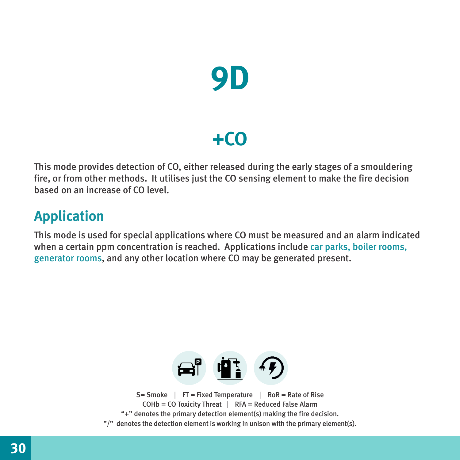

### **+CO**

This mode provides detection of CO, either released during the early stages of a smouldering fire, or from other methods. It utilises just the CO sensing element to make the fire decision based on an increase of CO level.

#### **Application**

This mode is used for special applications where CO must be measured and an alarm indicated when a certain ppm concentration is reached. Applications include car parks, boiler rooms, generator rooms, and any other location where CO may be generated present.

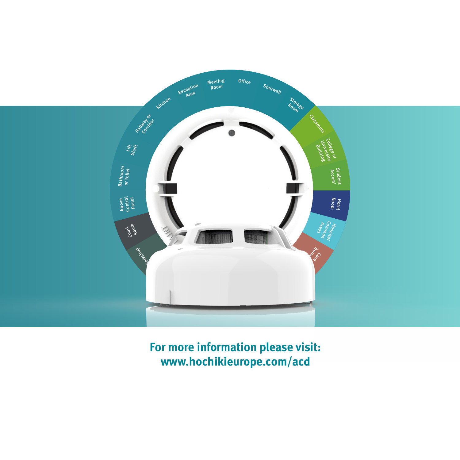

**For more information please visit: www.hochikieurope.com/acd**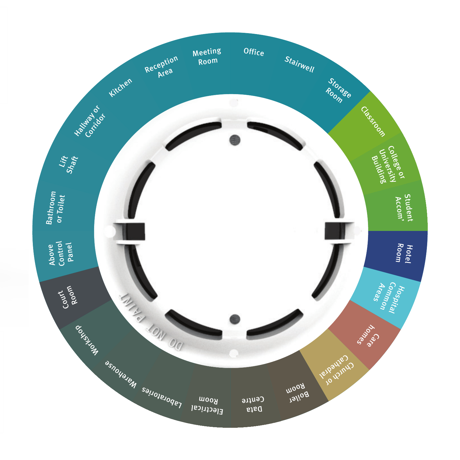